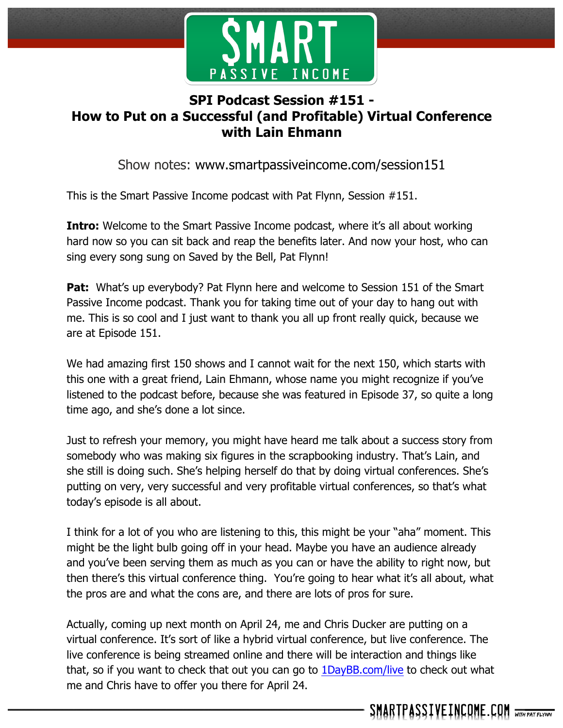

## **SPI Podcast Session #151 - How to Put on a Successful (and Profitable) Virtual Conference with Lain Ehmann**

Show notes: www.smartpassiveincome.com/session151

This is the Smart Passive Income podcast with Pat Flynn, Session #151.

**Intro:** Welcome to the Smart Passive Income podcast, where it's all about working hard now so you can sit back and reap the benefits later. And now your host, who can sing every song sung on Saved by the Bell, Pat Flynn!

**Pat:** What's up everybody? Pat Flynn here and welcome to Session 151 of the Smart Passive Income podcast. Thank you for taking time out of your day to hang out with me. This is so cool and I just want to thank you all up front really quick, because we are at Episode 151.

We had amazing first 150 shows and I cannot wait for the next 150, which starts with this one with a great friend, Lain Ehmann, whose name you might recognize if you've listened to the podcast before, because she was featured in Episode 37, so quite a long time ago, and she's done a lot since.

Just to refresh your memory, you might have heard me talk about a success story from somebody who was making six figures in the scrapbooking industry. That's Lain, and she still is doing such. She's helping herself do that by doing virtual conferences. She's putting on very, very successful and very profitable virtual conferences, so that's what today's episode is all about.

I think for a lot of you who are listening to this, this might be your "aha" moment. This might be the light bulb going off in your head. Maybe you have an audience already and you've been serving them as much as you can or have the ability to right now, but then there's this virtual conference thing. You're going to hear what it's all about, what the pros are and what the cons are, and there are lots of pros for sure.

Actually, coming up next month on April 24, me and Chris Ducker are putting on a virtual conference. It's sort of like a hybrid virtual conference, but live conference. The live conference is being streamed online and there will be interaction and things like that, so if you want to check that out you can go to 1DayBB.com/live to check out what me and Chris have to offer you there for April 24.

SMARTPASSIVEINCOME.COM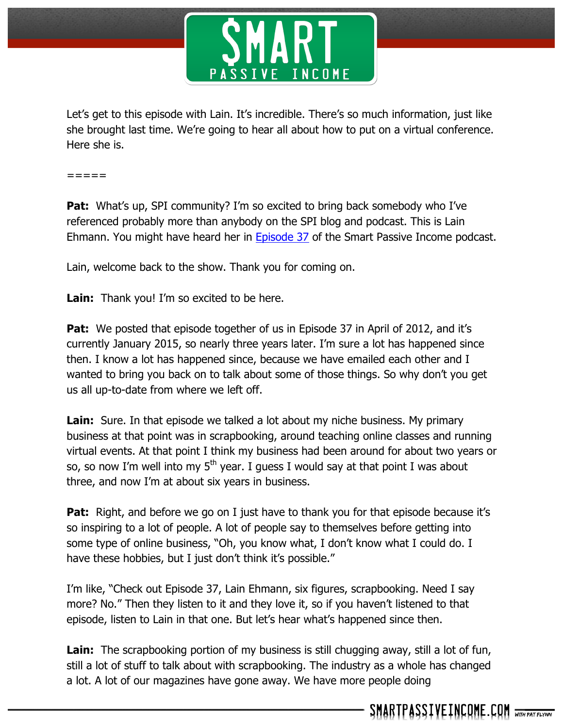

Let's get to this episode with Lain. It's incredible. There's so much information, just like she brought last time. We're going to hear all about how to put on a virtual conference. Here she is.

=====

**Pat:** What's up, SPI community? I'm so excited to bring back somebody who I've referenced probably more than anybody on the SPI blog and podcast. This is Lain Ehmann. You might have heard her in Episode 37 of the Smart Passive Income podcast.

Lain, welcome back to the show. Thank you for coming on.

**Lain:** Thank you! I'm so excited to be here.

**Pat:** We posted that episode together of us in Episode 37 in April of 2012, and it's currently January 2015, so nearly three years later. I'm sure a lot has happened since then. I know a lot has happened since, because we have emailed each other and I wanted to bring you back on to talk about some of those things. So why don't you get us all up-to-date from where we left off.

**Lain:** Sure. In that episode we talked a lot about my niche business. My primary business at that point was in scrapbooking, around teaching online classes and running virtual events. At that point I think my business had been around for about two years or so, so now I'm well into my  $5<sup>th</sup>$  year. I guess I would say at that point I was about three, and now I'm at about six years in business.

**Pat:** Right, and before we go on I just have to thank you for that episode because it's so inspiring to a lot of people. A lot of people say to themselves before getting into some type of online business, "Oh, you know what, I don't know what I could do. I have these hobbies, but I just don't think it's possible."

I'm like, "Check out Episode 37, Lain Ehmann, six figures, scrapbooking. Need I say more? No." Then they listen to it and they love it, so if you haven't listened to that episode, listen to Lain in that one. But let's hear what's happened since then.

Lain: The scrapbooking portion of my business is still chugging away, still a lot of fun, still a lot of stuff to talk about with scrapbooking. The industry as a whole has changed a lot. A lot of our magazines have gone away. We have more people doing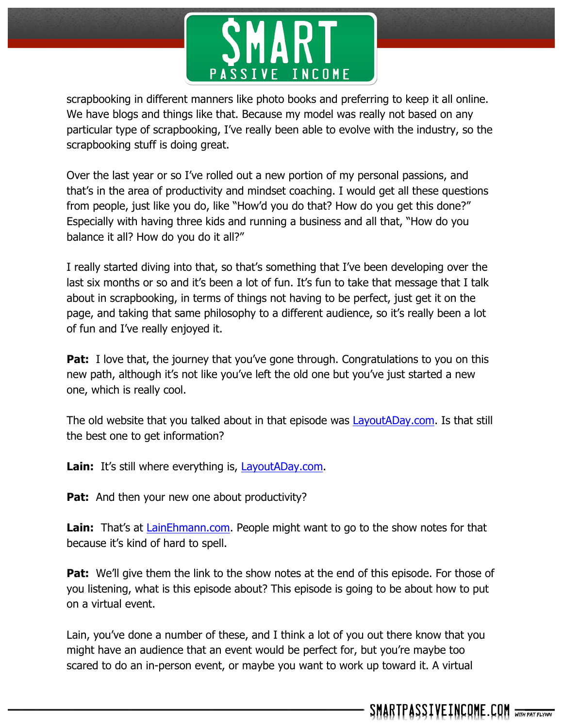

scrapbooking in different manners like photo books and preferring to keep it all online. We have blogs and things like that. Because my model was really not based on any particular type of scrapbooking, I've really been able to evolve with the industry, so the scrapbooking stuff is doing great.

Over the last year or so I've rolled out a new portion of my personal passions, and that's in the area of productivity and mindset coaching. I would get all these questions from people, just like you do, like "How'd you do that? How do you get this done?" Especially with having three kids and running a business and all that, "How do you balance it all? How do you do it all?"

I really started diving into that, so that's something that I've been developing over the last six months or so and it's been a lot of fun. It's fun to take that message that I talk about in scrapbooking, in terms of things not having to be perfect, just get it on the page, and taking that same philosophy to a different audience, so it's really been a lot of fun and I've really enjoyed it.

**Pat:** I love that, the journey that you've gone through. Congratulations to you on this new path, although it's not like you've left the old one but you've just started a new one, which is really cool.

The old website that you talked about in that episode was LayoutADay.com. Is that still the best one to get information?

**Lain:** It's still where everything is, LayoutADay.com.

**Pat:** And then your new one about productivity?

**Lain:** That's at LainEhmann.com. People might want to go to the show notes for that because it's kind of hard to spell.

**Pat:** We'll give them the link to the show notes at the end of this episode. For those of you listening, what is this episode about? This episode is going to be about how to put on a virtual event.

Lain, you've done a number of these, and I think a lot of you out there know that you might have an audience that an event would be perfect for, but you're maybe too scared to do an in-person event, or maybe you want to work up toward it. A virtual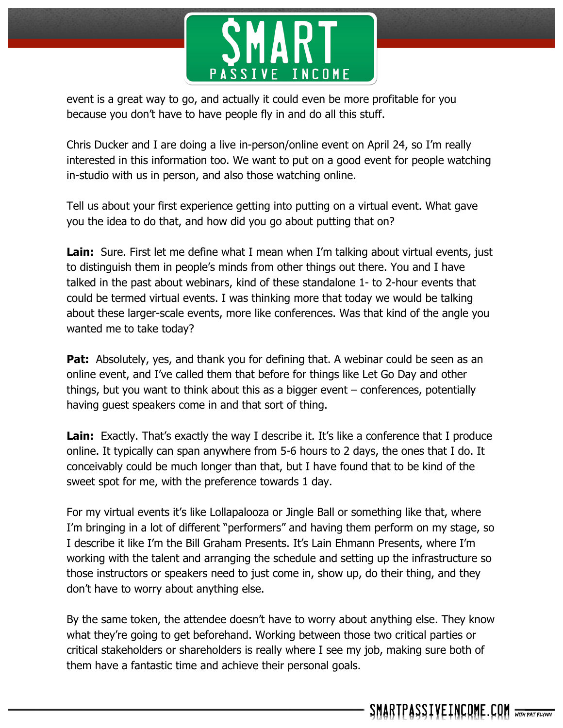

event is a great way to go, and actually it could even be more profitable for you because you don't have to have people fly in and do all this stuff.

Chris Ducker and I are doing a live in-person/online event on April 24, so I'm really interested in this information too. We want to put on a good event for people watching in-studio with us in person, and also those watching online.

Tell us about your first experience getting into putting on a virtual event. What gave you the idea to do that, and how did you go about putting that on?

**Lain:** Sure. First let me define what I mean when I'm talking about virtual events, just to distinguish them in people's minds from other things out there. You and I have talked in the past about webinars, kind of these standalone 1- to 2-hour events that could be termed virtual events. I was thinking more that today we would be talking about these larger-scale events, more like conferences. Was that kind of the angle you wanted me to take today?

**Pat:** Absolutely, yes, and thank you for defining that. A webinar could be seen as an online event, and I've called them that before for things like Let Go Day and other things, but you want to think about this as a bigger event – conferences, potentially having guest speakers come in and that sort of thing.

**Lain:** Exactly. That's exactly the way I describe it. It's like a conference that I produce online. It typically can span anywhere from 5-6 hours to 2 days, the ones that I do. It conceivably could be much longer than that, but I have found that to be kind of the sweet spot for me, with the preference towards 1 day.

For my virtual events it's like Lollapalooza or Jingle Ball or something like that, where I'm bringing in a lot of different "performers" and having them perform on my stage, so I describe it like I'm the Bill Graham Presents. It's Lain Ehmann Presents, where I'm working with the talent and arranging the schedule and setting up the infrastructure so those instructors or speakers need to just come in, show up, do their thing, and they don't have to worry about anything else.

By the same token, the attendee doesn't have to worry about anything else. They know what they're going to get beforehand. Working between those two critical parties or critical stakeholders or shareholders is really where I see my job, making sure both of them have a fantastic time and achieve their personal goals.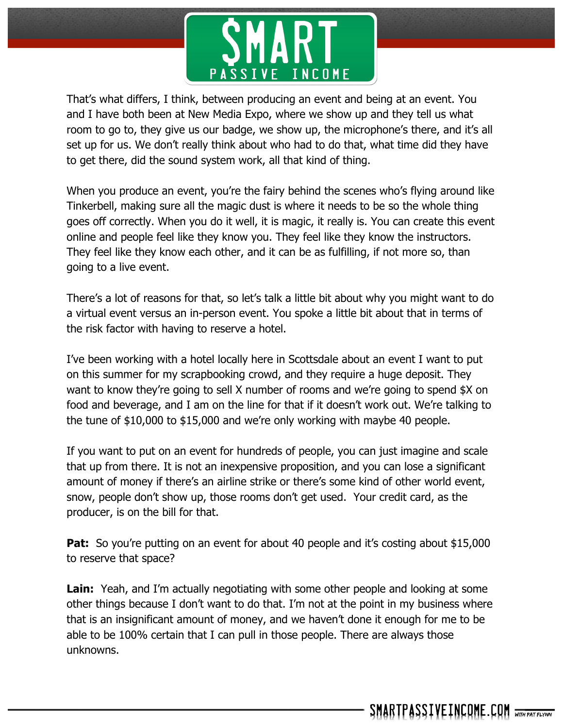

That's what differs, I think, between producing an event and being at an event. You and I have both been at New Media Expo, where we show up and they tell us what room to go to, they give us our badge, we show up, the microphone's there, and it's all set up for us. We don't really think about who had to do that, what time did they have to get there, did the sound system work, all that kind of thing.

When you produce an event, you're the fairy behind the scenes who's flying around like Tinkerbell, making sure all the magic dust is where it needs to be so the whole thing goes off correctly. When you do it well, it is magic, it really is. You can create this event online and people feel like they know you. They feel like they know the instructors. They feel like they know each other, and it can be as fulfilling, if not more so, than going to a live event.

There's a lot of reasons for that, so let's talk a little bit about why you might want to do a virtual event versus an in-person event. You spoke a little bit about that in terms of the risk factor with having to reserve a hotel.

I've been working with a hotel locally here in Scottsdale about an event I want to put on this summer for my scrapbooking crowd, and they require a huge deposit. They want to know they're going to sell X number of rooms and we're going to spend \$X on food and beverage, and I am on the line for that if it doesn't work out. We're talking to the tune of \$10,000 to \$15,000 and we're only working with maybe 40 people.

If you want to put on an event for hundreds of people, you can just imagine and scale that up from there. It is not an inexpensive proposition, and you can lose a significant amount of money if there's an airline strike or there's some kind of other world event, snow, people don't show up, those rooms don't get used. Your credit card, as the producer, is on the bill for that.

**Pat:** So you're putting on an event for about 40 people and it's costing about \$15,000 to reserve that space?

**Lain:** Yeah, and I'm actually negotiating with some other people and looking at some other things because I don't want to do that. I'm not at the point in my business where that is an insignificant amount of money, and we haven't done it enough for me to be able to be 100% certain that I can pull in those people. There are always those unknowns.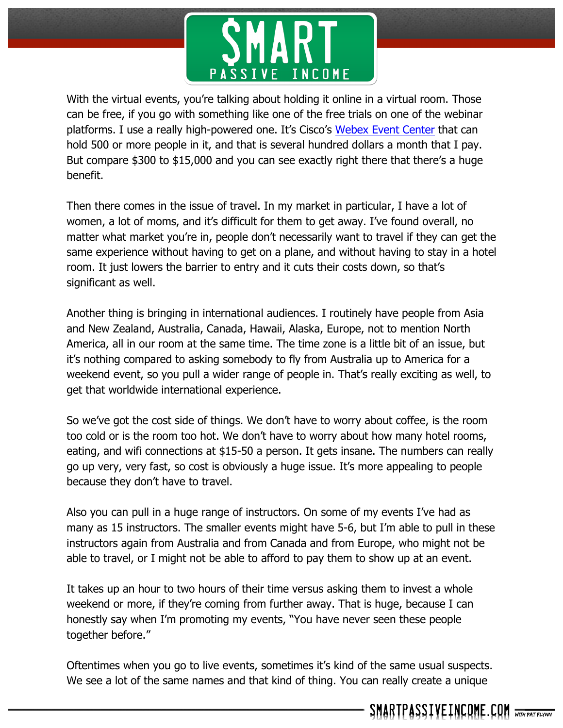

With the virtual events, you're talking about holding it online in a virtual room. Those can be free, if you go with something like one of the free trials on one of the webinar platforms. I use a really high-powered one. It's Cisco's Webex Event Center that can hold 500 or more people in it, and that is several hundred dollars a month that I pay. But compare \$300 to \$15,000 and you can see exactly right there that there's a huge benefit.

Then there comes in the issue of travel. In my market in particular, I have a lot of women, a lot of moms, and it's difficult for them to get away. I've found overall, no matter what market you're in, people don't necessarily want to travel if they can get the same experience without having to get on a plane, and without having to stay in a hotel room. It just lowers the barrier to entry and it cuts their costs down, so that's significant as well.

Another thing is bringing in international audiences. I routinely have people from Asia and New Zealand, Australia, Canada, Hawaii, Alaska, Europe, not to mention North America, all in our room at the same time. The time zone is a little bit of an issue, but it's nothing compared to asking somebody to fly from Australia up to America for a weekend event, so you pull a wider range of people in. That's really exciting as well, to get that worldwide international experience.

So we've got the cost side of things. We don't have to worry about coffee, is the room too cold or is the room too hot. We don't have to worry about how many hotel rooms, eating, and wifi connections at \$15-50 a person. It gets insane. The numbers can really go up very, very fast, so cost is obviously a huge issue. It's more appealing to people because they don't have to travel.

Also you can pull in a huge range of instructors. On some of my events I've had as many as 15 instructors. The smaller events might have 5-6, but I'm able to pull in these instructors again from Australia and from Canada and from Europe, who might not be able to travel, or I might not be able to afford to pay them to show up at an event.

It takes up an hour to two hours of their time versus asking them to invest a whole weekend or more, if they're coming from further away. That is huge, because I can honestly say when I'm promoting my events, "You have never seen these people together before."

Oftentimes when you go to live events, sometimes it's kind of the same usual suspects. We see a lot of the same names and that kind of thing. You can really create a unique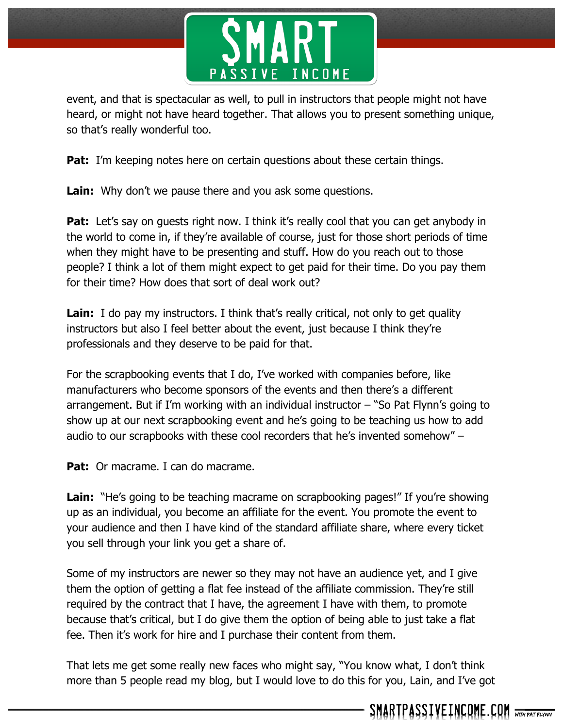

event, and that is spectacular as well, to pull in instructors that people might not have heard, or might not have heard together. That allows you to present something unique, so that's really wonderful too.

**Pat:** I'm keeping notes here on certain questions about these certain things.

**Lain:** Why don't we pause there and you ask some questions.

**Pat:** Let's say on guests right now. I think it's really cool that you can get anybody in the world to come in, if they're available of course, just for those short periods of time when they might have to be presenting and stuff. How do you reach out to those people? I think a lot of them might expect to get paid for their time. Do you pay them for their time? How does that sort of deal work out?

**Lain:** I do pay my instructors. I think that's really critical, not only to get quality instructors but also I feel better about the event, just because I think they're professionals and they deserve to be paid for that.

For the scrapbooking events that I do, I've worked with companies before, like manufacturers who become sponsors of the events and then there's a different arrangement. But if I'm working with an individual instructor – "So Pat Flynn's going to show up at our next scrapbooking event and he's going to be teaching us how to add audio to our scrapbooks with these cool recorders that he's invented somehow" –

Pat: Or macrame. I can do macrame.

**Lain:** "He's going to be teaching macrame on scrapbooking pages!" If you're showing up as an individual, you become an affiliate for the event. You promote the event to your audience and then I have kind of the standard affiliate share, where every ticket you sell through your link you get a share of.

Some of my instructors are newer so they may not have an audience yet, and I give them the option of getting a flat fee instead of the affiliate commission. They're still required by the contract that I have, the agreement I have with them, to promote because that's critical, but I do give them the option of being able to just take a flat fee. Then it's work for hire and I purchase their content from them.

That lets me get some really new faces who might say, "You know what, I don't think more than 5 people read my blog, but I would love to do this for you, Lain, and I've got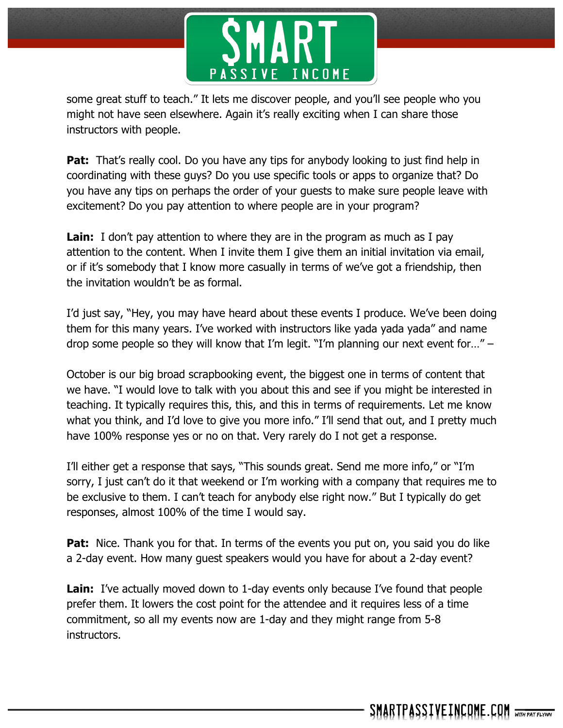

some great stuff to teach." It lets me discover people, and you'll see people who you might not have seen elsewhere. Again it's really exciting when I can share those instructors with people.

**Pat:** That's really cool. Do you have any tips for anybody looking to just find help in coordinating with these guys? Do you use specific tools or apps to organize that? Do you have any tips on perhaps the order of your guests to make sure people leave with excitement? Do you pay attention to where people are in your program?

**Lain:** I don't pay attention to where they are in the program as much as I pay attention to the content. When I invite them I give them an initial invitation via email, or if it's somebody that I know more casually in terms of we've got a friendship, then the invitation wouldn't be as formal.

I'd just say, "Hey, you may have heard about these events I produce. We've been doing them for this many years. I've worked with instructors like yada yada yada" and name drop some people so they will know that I'm legit. "I'm planning our next event for…" –

October is our big broad scrapbooking event, the biggest one in terms of content that we have. "I would love to talk with you about this and see if you might be interested in teaching. It typically requires this, this, and this in terms of requirements. Let me know what you think, and I'd love to give you more info." I'll send that out, and I pretty much have 100% response yes or no on that. Very rarely do I not get a response.

I'll either get a response that says, "This sounds great. Send me more info," or "I'm sorry, I just can't do it that weekend or I'm working with a company that requires me to be exclusive to them. I can't teach for anybody else right now." But I typically do get responses, almost 100% of the time I would say.

**Pat:** Nice. Thank you for that. In terms of the events you put on, you said you do like a 2-day event. How many guest speakers would you have for about a 2-day event?

**Lain:** I've actually moved down to 1-day events only because I've found that people prefer them. It lowers the cost point for the attendee and it requires less of a time commitment, so all my events now are 1-day and they might range from 5-8 instructors.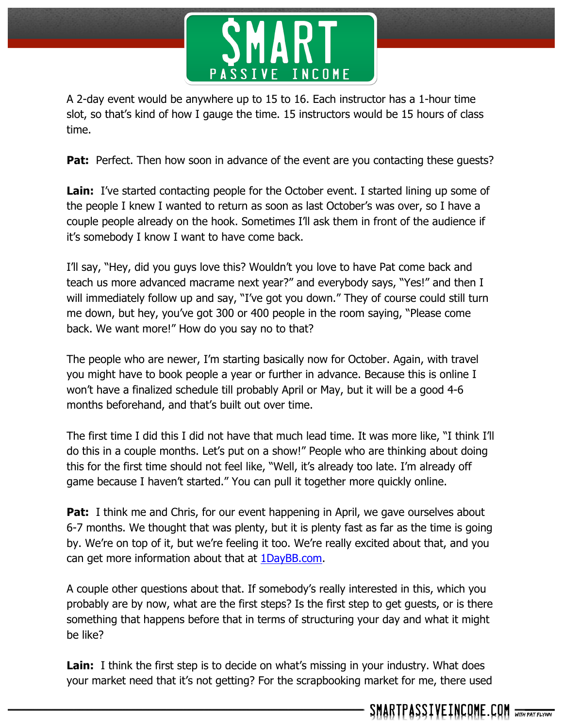

A 2-day event would be anywhere up to 15 to 16. Each instructor has a 1-hour time slot, so that's kind of how I gauge the time. 15 instructors would be 15 hours of class time.

**Pat:** Perfect. Then how soon in advance of the event are you contacting these guests?

**Lain:** I've started contacting people for the October event. I started lining up some of the people I knew I wanted to return as soon as last October's was over, so I have a couple people already on the hook. Sometimes I'll ask them in front of the audience if it's somebody I know I want to have come back.

I'll say, "Hey, did you guys love this? Wouldn't you love to have Pat come back and teach us more advanced macrame next year?" and everybody says, "Yes!" and then I will immediately follow up and say, "I've got you down." They of course could still turn me down, but hey, you've got 300 or 400 people in the room saying, "Please come back. We want more!" How do you say no to that?

The people who are newer, I'm starting basically now for October. Again, with travel you might have to book people a year or further in advance. Because this is online I won't have a finalized schedule till probably April or May, but it will be a good 4-6 months beforehand, and that's built out over time.

The first time I did this I did not have that much lead time. It was more like, "I think I'll do this in a couple months. Let's put on a show!" People who are thinking about doing this for the first time should not feel like, "Well, it's already too late. I'm already off game because I haven't started." You can pull it together more quickly online.

**Pat:** I think me and Chris, for our event happening in April, we gave ourselves about 6-7 months. We thought that was plenty, but it is plenty fast as far as the time is going by. We're on top of it, but we're feeling it too. We're really excited about that, and you can get more information about that at 1DayBB.com.

A couple other questions about that. If somebody's really interested in this, which you probably are by now, what are the first steps? Is the first step to get guests, or is there something that happens before that in terms of structuring your day and what it might be like?

**Lain:** I think the first step is to decide on what's missing in your industry. What does your market need that it's not getting? For the scrapbooking market for me, there used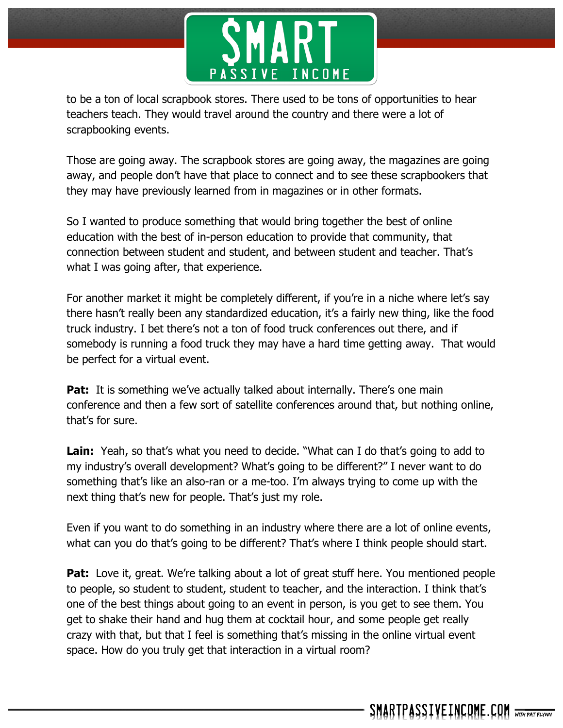

to be a ton of local scrapbook stores. There used to be tons of opportunities to hear teachers teach. They would travel around the country and there were a lot of scrapbooking events.

Those are going away. The scrapbook stores are going away, the magazines are going away, and people don't have that place to connect and to see these scrapbookers that they may have previously learned from in magazines or in other formats.

So I wanted to produce something that would bring together the best of online education with the best of in-person education to provide that community, that connection between student and student, and between student and teacher. That's what I was going after, that experience.

For another market it might be completely different, if you're in a niche where let's say there hasn't really been any standardized education, it's a fairly new thing, like the food truck industry. I bet there's not a ton of food truck conferences out there, and if somebody is running a food truck they may have a hard time getting away. That would be perfect for a virtual event.

**Pat:** It is something we've actually talked about internally. There's one main conference and then a few sort of satellite conferences around that, but nothing online, that's for sure.

Lain: Yeah, so that's what you need to decide. "What can I do that's going to add to my industry's overall development? What's going to be different?" I never want to do something that's like an also-ran or a me-too. I'm always trying to come up with the next thing that's new for people. That's just my role.

Even if you want to do something in an industry where there are a lot of online events, what can you do that's going to be different? That's where I think people should start.

**Pat:** Love it, great. We're talking about a lot of great stuff here. You mentioned people to people, so student to student, student to teacher, and the interaction. I think that's one of the best things about going to an event in person, is you get to see them. You get to shake their hand and hug them at cocktail hour, and some people get really crazy with that, but that I feel is something that's missing in the online virtual event space. How do you truly get that interaction in a virtual room?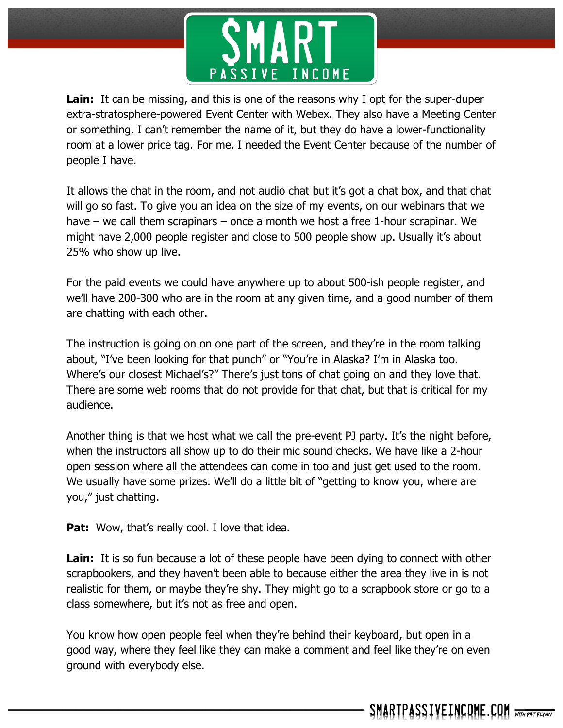

**Lain:** It can be missing, and this is one of the reasons why I opt for the super-duper extra-stratosphere-powered Event Center with Webex. They also have a Meeting Center or something. I can't remember the name of it, but they do have a lower-functionality room at a lower price tag. For me, I needed the Event Center because of the number of people I have.

It allows the chat in the room, and not audio chat but it's got a chat box, and that chat will go so fast. To give you an idea on the size of my events, on our webinars that we have – we call them scrapinars – once a month we host a free 1-hour scrapinar. We might have 2,000 people register and close to 500 people show up. Usually it's about 25% who show up live.

For the paid events we could have anywhere up to about 500-ish people register, and we'll have 200-300 who are in the room at any given time, and a good number of them are chatting with each other.

The instruction is going on on one part of the screen, and they're in the room talking about, "I've been looking for that punch" or "You're in Alaska? I'm in Alaska too. Where's our closest Michael's?" There's just tons of chat going on and they love that. There are some web rooms that do not provide for that chat, but that is critical for my audience.

Another thing is that we host what we call the pre-event PJ party. It's the night before, when the instructors all show up to do their mic sound checks. We have like a 2-hour open session where all the attendees can come in too and just get used to the room. We usually have some prizes. We'll do a little bit of "getting to know you, where are you," just chatting.

**Pat:** Wow, that's really cool. I love that idea.

**Lain:** It is so fun because a lot of these people have been dying to connect with other scrapbookers, and they haven't been able to because either the area they live in is not realistic for them, or maybe they're shy. They might go to a scrapbook store or go to a class somewhere, but it's not as free and open.

You know how open people feel when they're behind their keyboard, but open in a good way, where they feel like they can make a comment and feel like they're on even ground with everybody else.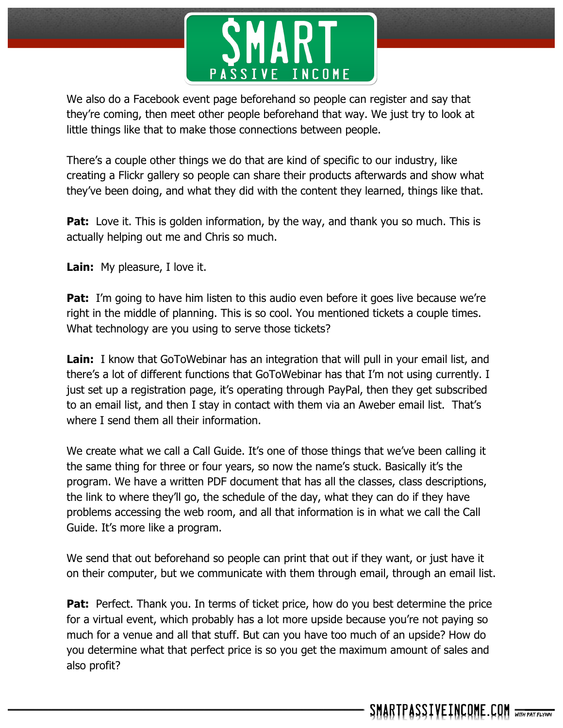

We also do a Facebook event page beforehand so people can register and say that they're coming, then meet other people beforehand that way. We just try to look at little things like that to make those connections between people.

There's a couple other things we do that are kind of specific to our industry, like creating a Flickr gallery so people can share their products afterwards and show what they've been doing, and what they did with the content they learned, things like that.

**Pat:** Love it. This is golden information, by the way, and thank you so much. This is actually helping out me and Chris so much.

**Lain:** My pleasure, I love it.

**Pat:** I'm going to have him listen to this audio even before it goes live because we're right in the middle of planning. This is so cool. You mentioned tickets a couple times. What technology are you using to serve those tickets?

**Lain:** I know that GoToWebinar has an integration that will pull in your email list, and there's a lot of different functions that GoToWebinar has that I'm not using currently. I just set up a registration page, it's operating through PayPal, then they get subscribed to an email list, and then I stay in contact with them via an Aweber email list. That's where I send them all their information.

We create what we call a Call Guide. It's one of those things that we've been calling it the same thing for three or four years, so now the name's stuck. Basically it's the program. We have a written PDF document that has all the classes, class descriptions, the link to where they'll go, the schedule of the day, what they can do if they have problems accessing the web room, and all that information is in what we call the Call Guide. It's more like a program.

We send that out beforehand so people can print that out if they want, or just have it on their computer, but we communicate with them through email, through an email list.

**Pat:** Perfect. Thank you. In terms of ticket price, how do you best determine the price for a virtual event, which probably has a lot more upside because you're not paying so much for a venue and all that stuff. But can you have too much of an upside? How do you determine what that perfect price is so you get the maximum amount of sales and also profit?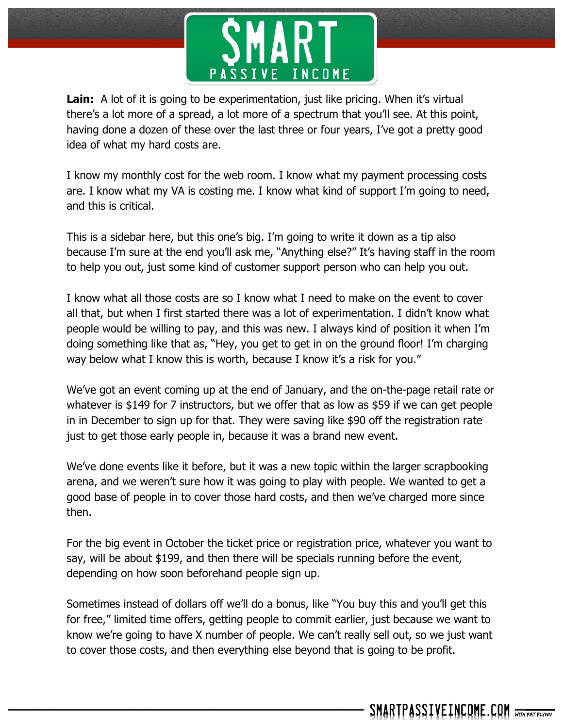

Lain: A lot of it is going to be experimentation, just like pricing. When it's virtual there's a lot more of a spread, a lot more of a spectrum that you'll see. At this point, having done a dozen of these over the last three or four years, I've got a pretty good idea of what my hard costs are.

I know my monthly cost for the web room. I know what my payment processing costs are. I know what my VA is costing me. I know what kind of support I'm going to need, and this is critical.

This is a sidebar here, but this one's big. I'm going to write it down as a tip also because I'm sure at the end you'll ask me, "Anything else?" It's having staff in the room to help you out, just some kind of customer support person who can help you out.

I know what all those costs are so I know what I need to make on the event to cover all that, but when I first started there was a lot of experimentation. I didn't know what people would be willing to pay, and this was new. I always kind of position it when I'm doing something like that as, "Hey, you get to get in on the ground floor! I'm charging way below what I know this is worth, because I know it's a risk for you."

We've got an event coming up at the end of January, and the on-the-page retail rate or whatever is \$149 for 7 instructors, but we offer that as low as \$59 if we can get people in in December to sign up for that. They were saving like \$90 off the registration rate just to get those early people in, because it was a brand new event.

We've done events like it before, but it was a new topic within the larger scrapbooking arena, and we weren't sure how it was going to play with people. We wanted to get a good base of people in to cover those hard costs, and then we've charged more since then.

For the big event in October the ticket price or registration price, whatever you want to say, will be about \$199, and then there will be specials running before the event, depending on how soon beforehand people sign up.

Sometimes instead of dollars off we'll do a bonus, like "You buy this and you'll get this for free," limited time offers, getting people to commit earlier, just because we want to know we're going to have X number of people. We can't really sell out, so we just want to cover those costs, and then everything else beyond that is going to be profit.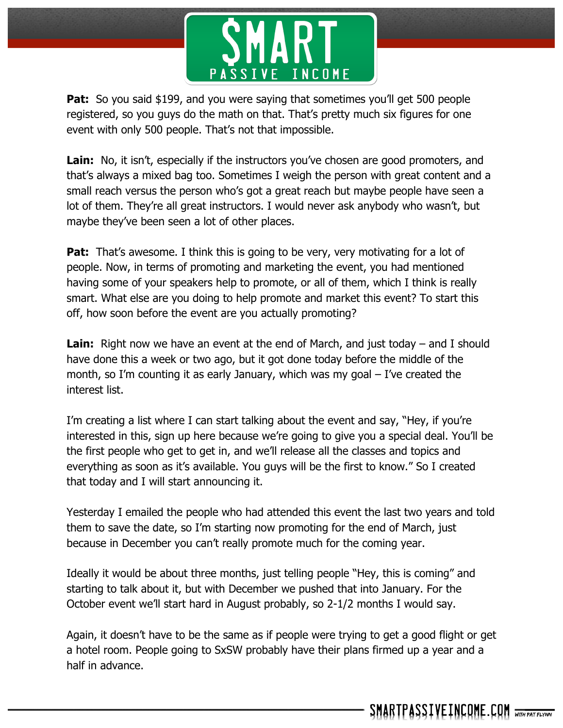

**Pat:** So you said \$199, and you were saying that sometimes you'll get 500 people registered, so you guys do the math on that. That's pretty much six figures for one event with only 500 people. That's not that impossible.

Lain: No, it isn't, especially if the instructors you've chosen are good promoters, and that's always a mixed bag too. Sometimes I weigh the person with great content and a small reach versus the person who's got a great reach but maybe people have seen a lot of them. They're all great instructors. I would never ask anybody who wasn't, but maybe they've been seen a lot of other places.

**Pat:** That's awesome. I think this is going to be very, very motivating for a lot of people. Now, in terms of promoting and marketing the event, you had mentioned having some of your speakers help to promote, or all of them, which I think is really smart. What else are you doing to help promote and market this event? To start this off, how soon before the event are you actually promoting?

**Lain:** Right now we have an event at the end of March, and just today – and I should have done this a week or two ago, but it got done today before the middle of the month, so I'm counting it as early January, which was my goal – I've created the interest list.

I'm creating a list where I can start talking about the event and say, "Hey, if you're interested in this, sign up here because we're going to give you a special deal. You'll be the first people who get to get in, and we'll release all the classes and topics and everything as soon as it's available. You guys will be the first to know." So I created that today and I will start announcing it.

Yesterday I emailed the people who had attended this event the last two years and told them to save the date, so I'm starting now promoting for the end of March, just because in December you can't really promote much for the coming year.

Ideally it would be about three months, just telling people "Hey, this is coming" and starting to talk about it, but with December we pushed that into January. For the October event we'll start hard in August probably, so 2-1/2 months I would say.

Again, it doesn't have to be the same as if people were trying to get a good flight or get a hotel room. People going to SxSW probably have their plans firmed up a year and a half in advance.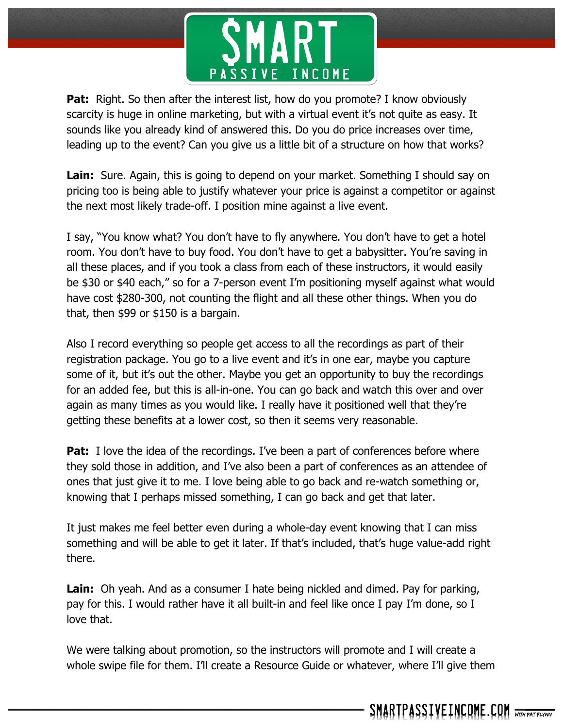

**Pat:** Right. So then after the interest list, how do you promote? I know obviously scarcity is huge in online marketing, but with a virtual event it's not quite as easy. It sounds like you already kind of answered this. Do you do price increases over time, leading up to the event? Can you give us a little bit of a structure on how that works?

**Lain:** Sure. Again, this is going to depend on your market. Something I should say on pricing too is being able to justify whatever your price is against a competitor or against the next most likely trade-off. I position mine against a live event.

I say, "You know what? You don't have to fly anywhere. You don't have to get a hotel room. You don't have to buy food. You don't have to get a babysitter. You're saving in all these places, and if you took a class from each of these instructors, it would easily be \$30 or \$40 each," so for a 7-person event I'm positioning myself against what would have cost \$280-300, not counting the flight and all these other things. When you do that, then \$99 or \$150 is a bargain.

Also I record everything so people get access to all the recordings as part of their registration package. You go to a live event and it's in one ear, maybe you capture some of it, but it's out the other. Maybe you get an opportunity to buy the recordings for an added fee, but this is all-in-one. You can go back and watch this over and over again as many times as you would like. I really have it positioned well that they're getting these benefits at a lower cost, so then it seems very reasonable.

**Pat:** I love the idea of the recordings. I've been a part of conferences before where they sold those in addition, and I've also been a part of conferences as an attendee of ones that just give it to me. I love being able to go back and re-watch something or, knowing that I perhaps missed something, I can go back and get that later.

It just makes me feel better even during a whole-day event knowing that I can miss something and will be able to get it later. If that's included, that's huge value-add right there.

**Lain:** Oh yeah. And as a consumer I hate being nickled and dimed. Pay for parking, pay for this. I would rather have it all built-in and feel like once I pay I'm done, so I love that.

We were talking about promotion, so the instructors will promote and I will create a whole swipe file for them. I'll create a Resource Guide or whatever, where I'll give them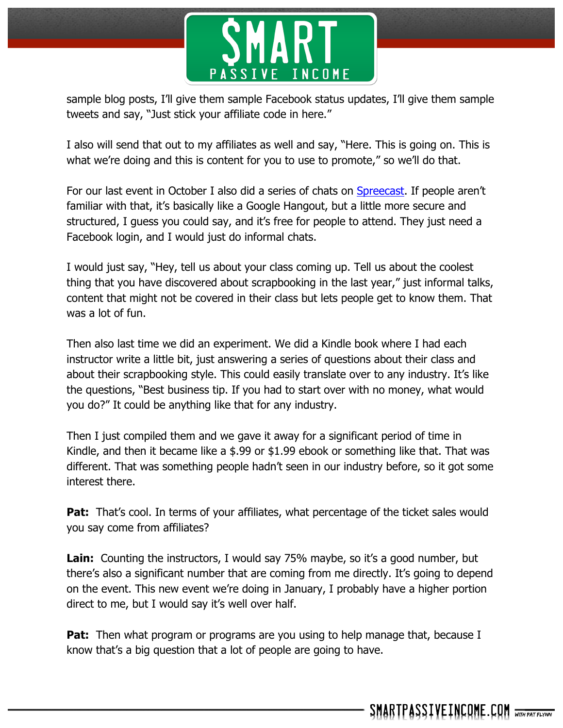

sample blog posts, I'll give them sample Facebook status updates, I'll give them sample tweets and say, "Just stick your affiliate code in here."

I also will send that out to my affiliates as well and say, "Here. This is going on. This is what we're doing and this is content for you to use to promote," so we'll do that.

For our last event in October I also did a series of chats on Spreecast. If people aren't familiar with that, it's basically like a Google Hangout, but a little more secure and structured, I guess you could say, and it's free for people to attend. They just need a Facebook login, and I would just do informal chats.

I would just say, "Hey, tell us about your class coming up. Tell us about the coolest thing that you have discovered about scrapbooking in the last year," just informal talks, content that might not be covered in their class but lets people get to know them. That was a lot of fun.

Then also last time we did an experiment. We did a Kindle book where I had each instructor write a little bit, just answering a series of questions about their class and about their scrapbooking style. This could easily translate over to any industry. It's like the questions, "Best business tip. If you had to start over with no money, what would you do?" It could be anything like that for any industry.

Then I just compiled them and we gave it away for a significant period of time in Kindle, and then it became like a \$.99 or \$1.99 ebook or something like that. That was different. That was something people hadn't seen in our industry before, so it got some interest there.

**Pat:** That's cool. In terms of your affiliates, what percentage of the ticket sales would you say come from affiliates?

**Lain:** Counting the instructors, I would say 75% maybe, so it's a good number, but there's also a significant number that are coming from me directly. It's going to depend on the event. This new event we're doing in January, I probably have a higher portion direct to me, but I would say it's well over half.

**Pat:** Then what program or programs are you using to help manage that, because I know that's a big question that a lot of people are going to have.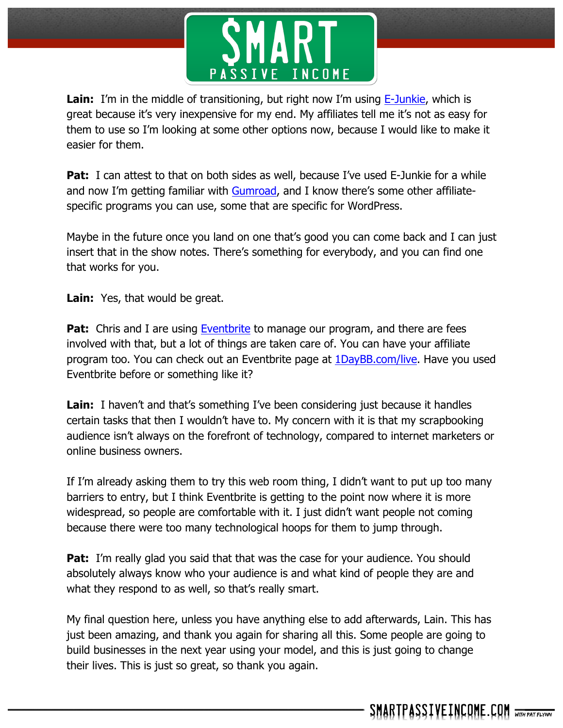

**Lain:** I'm in the middle of transitioning, but right now I'm using E-Junkie, which is great because it's very inexpensive for my end. My affiliates tell me it's not as easy for them to use so I'm looking at some other options now, because I would like to make it easier for them.

**Pat:** I can attest to that on both sides as well, because I've used E-Junkie for a while and now I'm getting familiar with Gumroad, and I know there's some other affiliatespecific programs you can use, some that are specific for WordPress.

Maybe in the future once you land on one that's good you can come back and I can just insert that in the show notes. There's something for everybody, and you can find one that works for you.

**Lain:** Yes, that would be great.

**Pat:** Chris and I are using Eventbrite to manage our program, and there are fees involved with that, but a lot of things are taken care of. You can have your affiliate program too. You can check out an Eventbrite page at 1DayBB.com/live. Have you used Eventbrite before or something like it?

**Lain:** I haven't and that's something I've been considering just because it handles certain tasks that then I wouldn't have to. My concern with it is that my scrapbooking audience isn't always on the forefront of technology, compared to internet marketers or online business owners.

If I'm already asking them to try this web room thing, I didn't want to put up too many barriers to entry, but I think Eventbrite is getting to the point now where it is more widespread, so people are comfortable with it. I just didn't want people not coming because there were too many technological hoops for them to jump through.

**Pat:** I'm really glad you said that that was the case for your audience. You should absolutely always know who your audience is and what kind of people they are and what they respond to as well, so that's really smart.

My final question here, unless you have anything else to add afterwards, Lain. This has just been amazing, and thank you again for sharing all this. Some people are going to build businesses in the next year using your model, and this is just going to change their lives. This is just so great, so thank you again.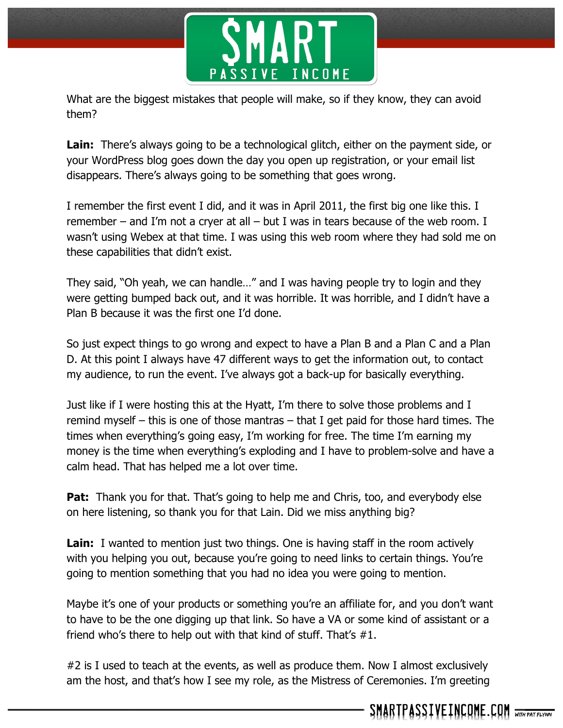

What are the biggest mistakes that people will make, so if they know, they can avoid them?

**Lain:** There's always going to be a technological glitch, either on the payment side, or your WordPress blog goes down the day you open up registration, or your email list disappears. There's always going to be something that goes wrong.

I remember the first event I did, and it was in April 2011, the first big one like this. I remember – and I'm not a cryer at all – but I was in tears because of the web room. I wasn't using Webex at that time. I was using this web room where they had sold me on these capabilities that didn't exist.

They said, "Oh yeah, we can handle…" and I was having people try to login and they were getting bumped back out, and it was horrible. It was horrible, and I didn't have a Plan B because it was the first one I'd done.

So just expect things to go wrong and expect to have a Plan B and a Plan C and a Plan D. At this point I always have 47 different ways to get the information out, to contact my audience, to run the event. I've always got a back-up for basically everything.

Just like if I were hosting this at the Hyatt, I'm there to solve those problems and I remind myself – this is one of those mantras – that I get paid for those hard times. The times when everything's going easy, I'm working for free. The time I'm earning my money is the time when everything's exploding and I have to problem-solve and have a calm head. That has helped me a lot over time.

**Pat:** Thank you for that. That's going to help me and Chris, too, and everybody else on here listening, so thank you for that Lain. Did we miss anything big?

**Lain:** I wanted to mention just two things. One is having staff in the room actively with you helping you out, because you're going to need links to certain things. You're going to mention something that you had no idea you were going to mention.

Maybe it's one of your products or something you're an affiliate for, and you don't want to have to be the one digging up that link. So have a VA or some kind of assistant or a friend who's there to help out with that kind of stuff. That's #1.

#2 is I used to teach at the events, as well as produce them. Now I almost exclusively am the host, and that's how I see my role, as the Mistress of Ceremonies. I'm greeting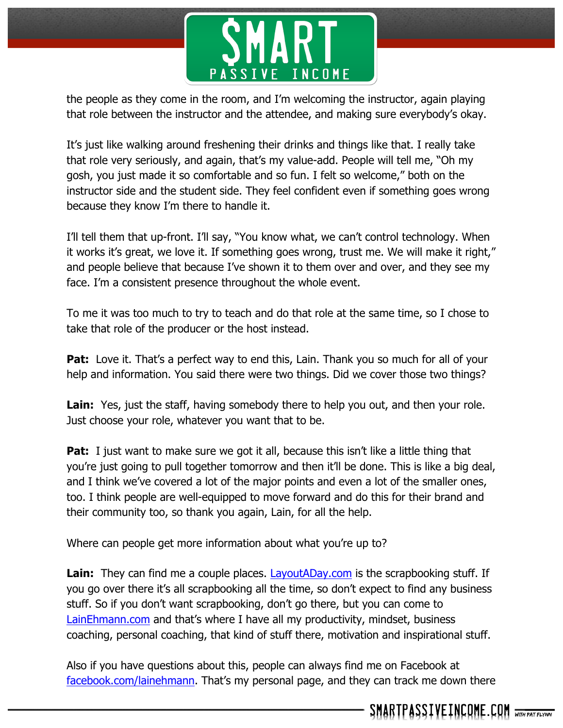

the people as they come in the room, and I'm welcoming the instructor, again playing that role between the instructor and the attendee, and making sure everybody's okay.

It's just like walking around freshening their drinks and things like that. I really take that role very seriously, and again, that's my value-add. People will tell me, "Oh my gosh, you just made it so comfortable and so fun. I felt so welcome," both on the instructor side and the student side. They feel confident even if something goes wrong because they know I'm there to handle it.

I'll tell them that up-front. I'll say, "You know what, we can't control technology. When it works it's great, we love it. If something goes wrong, trust me. We will make it right," and people believe that because I've shown it to them over and over, and they see my face. I'm a consistent presence throughout the whole event.

To me it was too much to try to teach and do that role at the same time, so I chose to take that role of the producer or the host instead.

**Pat:** Love it. That's a perfect way to end this, Lain. Thank you so much for all of your help and information. You said there were two things. Did we cover those two things?

Lain: Yes, just the staff, having somebody there to help you out, and then your role. Just choose your role, whatever you want that to be.

**Pat:** I just want to make sure we got it all, because this isn't like a little thing that you're just going to pull together tomorrow and then it'll be done. This is like a big deal, and I think we've covered a lot of the major points and even a lot of the smaller ones, too. I think people are well-equipped to move forward and do this for their brand and their community too, so thank you again, Lain, for all the help.

Where can people get more information about what you're up to?

**Lain:** They can find me a couple places. LayoutADay.com is the scrapbooking stuff. If you go over there it's all scrapbooking all the time, so don't expect to find any business stuff. So if you don't want scrapbooking, don't go there, but you can come to LainEhmann.com and that's where I have all my productivity, mindset, business coaching, personal coaching, that kind of stuff there, motivation and inspirational stuff.

Also if you have questions about this, people can always find me on Facebook at facebook.com/lainehmann. That's my personal page, and they can track me down there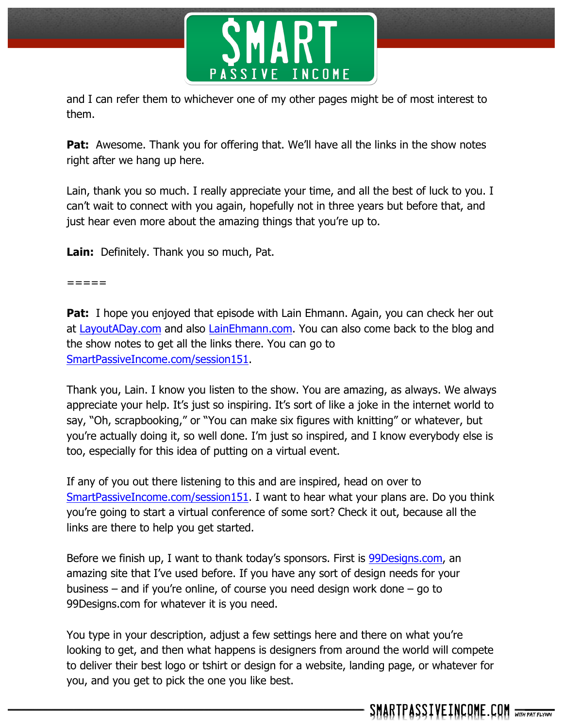

and I can refer them to whichever one of my other pages might be of most interest to them.

**Pat:** Awesome. Thank you for offering that. We'll have all the links in the show notes right after we hang up here.

Lain, thank you so much. I really appreciate your time, and all the best of luck to you. I can't wait to connect with you again, hopefully not in three years but before that, and just hear even more about the amazing things that you're up to.

**Lain:** Definitely. Thank you so much, Pat.

=====

**Pat:** I hope you enjoyed that episode with Lain Ehmann. Again, you can check her out at LayoutADay.com and also LainEhmann.com. You can also come back to the blog and the show notes to get all the links there. You can go to SmartPassiveIncome.com/session151.

Thank you, Lain. I know you listen to the show. You are amazing, as always. We always appreciate your help. It's just so inspiring. It's sort of like a joke in the internet world to say, "Oh, scrapbooking," or "You can make six figures with knitting" or whatever, but you're actually doing it, so well done. I'm just so inspired, and I know everybody else is too, especially for this idea of putting on a virtual event.

If any of you out there listening to this and are inspired, head on over to SmartPassiveIncome.com/session151. I want to hear what your plans are. Do you think you're going to start a virtual conference of some sort? Check it out, because all the links are there to help you get started.

Before we finish up, I want to thank today's sponsors. First is 99Designs.com, an amazing site that I've used before. If you have any sort of design needs for your business – and if you're online, of course you need design work done – go to 99Designs.com for whatever it is you need.

You type in your description, adjust a few settings here and there on what you're looking to get, and then what happens is designers from around the world will compete to deliver their best logo or tshirt or design for a website, landing page, or whatever for you, and you get to pick the one you like best.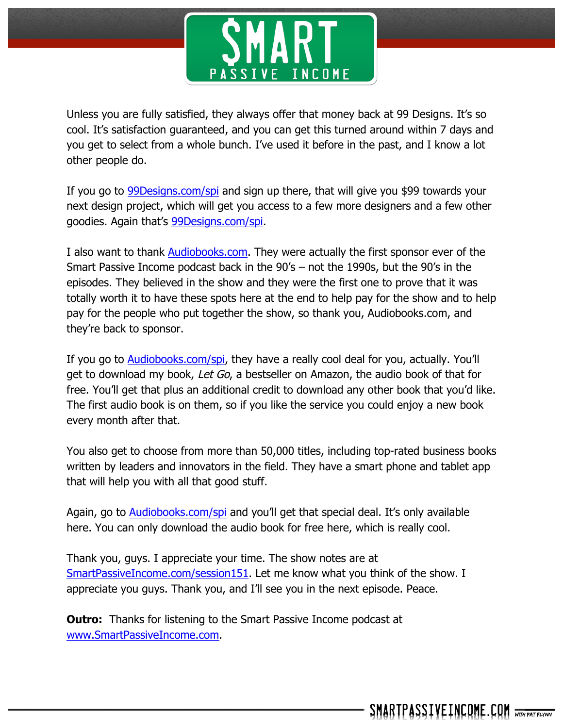

Unless you are fully satisfied, they always offer that money back at 99 Designs. It's so cool. It's satisfaction guaranteed, and you can get this turned around within 7 days and you get to select from a whole bunch. I've used it before in the past, and I know a lot other people do.

If you go to 99Designs.com/spi and sign up there, that will give you \$99 towards your next design project, which will get you access to a few more designers and a few other goodies. Again that's 99Designs.com/spi.

I also want to thank Audiobooks.com. They were actually the first sponsor ever of the Smart Passive Income podcast back in the 90's – not the 1990s, but the 90's in the episodes. They believed in the show and they were the first one to prove that it was totally worth it to have these spots here at the end to help pay for the show and to help pay for the people who put together the show, so thank you, Audiobooks.com, and they're back to sponsor.

If you go to Audiobooks.com/spi, they have a really cool deal for you, actually. You'll get to download my book, Let Go, a bestseller on Amazon, the audio book of that for free. You'll get that plus an additional credit to download any other book that you'd like. The first audio book is on them, so if you like the service you could enjoy a new book every month after that.

You also get to choose from more than 50,000 titles, including top-rated business books written by leaders and innovators in the field. They have a smart phone and tablet app that will help you with all that good stuff.

Again, go to Audiobooks.com/spi and you'll get that special deal. It's only available here. You can only download the audio book for free here, which is really cool.

Thank you, guys. I appreciate your time. The show notes are at SmartPassiveIncome.com/session151. Let me know what you think of the show. I appreciate you guys. Thank you, and I'll see you in the next episode. Peace.

**Outro:** Thanks for listening to the Smart Passive Income podcast at www.SmartPassiveIncome.com.